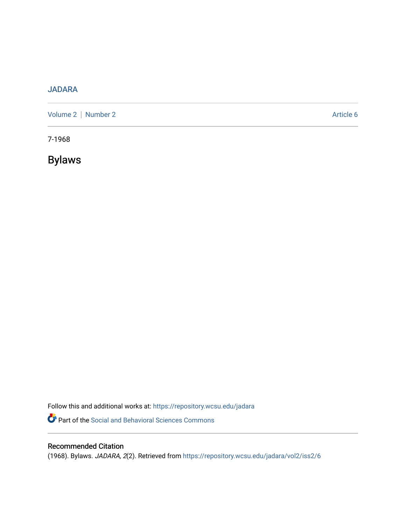# [JADARA](https://repository.wcsu.edu/jadara)

[Volume 2](https://repository.wcsu.edu/jadara/vol2) | [Number 2](https://repository.wcsu.edu/jadara/vol2/iss2) Article 6

7-1968

Bylaws

Follow this and additional works at: [https://repository.wcsu.edu/jadara](https://repository.wcsu.edu/jadara?utm_source=repository.wcsu.edu%2Fjadara%2Fvol2%2Fiss2%2F6&utm_medium=PDF&utm_campaign=PDFCoverPages) Part of the [Social and Behavioral Sciences Commons](http://network.bepress.com/hgg/discipline/316?utm_source=repository.wcsu.edu%2Fjadara%2Fvol2%2Fiss2%2F6&utm_medium=PDF&utm_campaign=PDFCoverPages) 

# Recommended Citation

(1968). Bylaws. JADARA, 2(2). Retrieved from [https://repository.wcsu.edu/jadara/vol2/iss2/6](https://repository.wcsu.edu/jadara/vol2/iss2/6?utm_source=repository.wcsu.edu%2Fjadara%2Fvol2%2Fiss2%2F6&utm_medium=PDF&utm_campaign=PDFCoverPages)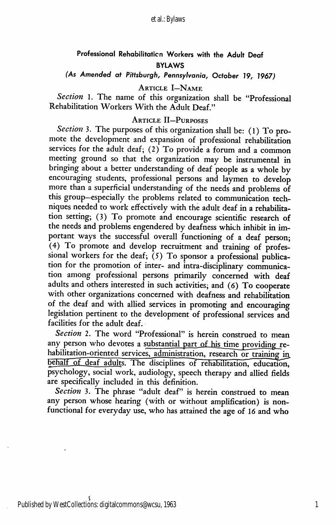# Professional Rehabilitation Workers with the Adult Deaf BYLAWS

(As Amended at Pittsburgh, Pennsylvania, October 19, 1967)

Article I—Name

Section 1. The name of this organization shall be "Professional Rehabilitation Workers With the Adult Deaf."

## Article II—Purposes

Section 3. The purposes of this organization shall be: (1) To promote the development and expansion of professional rehabilitation services for the adult deaf; (2) To provide a forum and a common meeting ground so that the organization may be instrumental in bringing about a better understanding of deaf people as a whole by encouraging students, professional persons and laymen to develop more than a superficial understanding of the needs and problems of this group—especially the problems related to communication tech niques needed to work effectively with the adult deaf in a rehabilita tion setting; (3) To promote and encourage scientific research of the needs and problems engendered by deafness which inhibit in im portant ways the successful overall functioning of a deaf person; (4) To promote and develop recruitment and training of profes sional workers for the deaf;  $(5)$  To sponsor a professional publication for the promotion of inter- and intra-disciplinary communica tion among professional persons primarily concerned with deaf adults and others interested in such activities; and (6) To cooperate with other organizations concerned with deafness and rehabilitation of the deaf and with allied services in promoting and encouraging legislation pertinent to the development of professional services and facilities for the adult deaf.

Section 2. The word "Professional" is herein construed to mean any person who devotes a substantial part of his time providing rehabilitation-oriented services, administration, research or training in\_ behalf of deaf adults. The disciplines of rehabilitation, education, psychology, social work, audiology, speech therapy and allied fields are specifically included in this definition.

Section 3. The phrase "adult deaf" is herein construed to mean any person whose hearing (with or without amplification) is non functional for everyday use, who has attained the age of 16 and who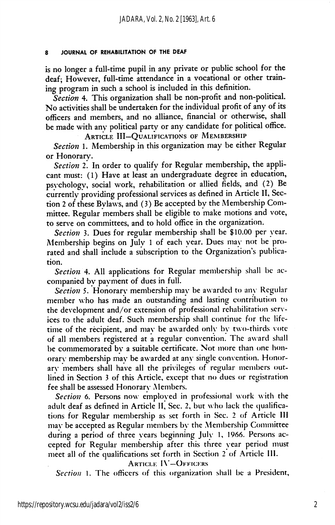#### 8 JOURNAL OF REHABILITATION OF THE DEAF

is no longer a full-time pupil in any private or public school for the deaf; However, full-time attendance in a vocational or other train ing program in such a school is included in this definition.

Section 4. This organization shall be non-profit and non-political. No activities shall be undertaken for the individual profit of any of its officers and members, and no alliance, financial or otherwise, shall be made with any political party or any candidate for political office.

ARTICLE III-QUALIFICATIONS OF MEMBERSHIP

Section 1. Membership in this organization may be either Regular or Honorary.

Section 2. In order to qualify for Regular membership, the applicant must: (1) Have at least an undergraduate degree in education, psychology, social work, rehabilitation or allied fields, and (2) Be currently providing professional services as defined in Article II, Section 2 of these Bylaws, and (3) Be accepted by the Membership Com mittee. Regular members shall be eligible to make motions and vote, to serve on committees, and to hold office in the organization.

Section 3. Dues for regular membership shall be \$10.00 per year. Membership begins on Julv 1 of each year. Dues may not be pro rated and shall include a subscription to the Organization's publica tion.

Section 4. All applications for Regular membership shall be accompanied by payment of dues in full.

Section 5. Honorary membership may be awarded to any Regular member who has made an outstanding and lasting contribution to the development and/or extension of professional rehabilitation serv ices to the adult deaf. Such membership shall continue for the life time of the recipient, and may be awarded only by two-thirds vote of all members registered at a regular convention. The aw ard shall be commemorated by a suitable certificate. Not more than one honorary membership may be awarded at any single convention. Honorary members shall have all the privileges of regular members out lined in Section 3 of this Article, except that no dues or registration fee shall be assessed Honorary Members.

Section 6. Persons now employed in professional work with the adult deaf as defined in Article II, Sec. 2, but who lack the qualifications for Regular membership as set forth in Sec. 2 of Article 111 may be accepted as Regular members by the Membership Committee during a period of three years beginning July 1, 1966. Persons ac cepted for Regular membership after this three year period must meet all of the qualifications set forth in Section 2 of Article III.

Article I\'—Officers

Section 1. The officers of this organization shall be a President,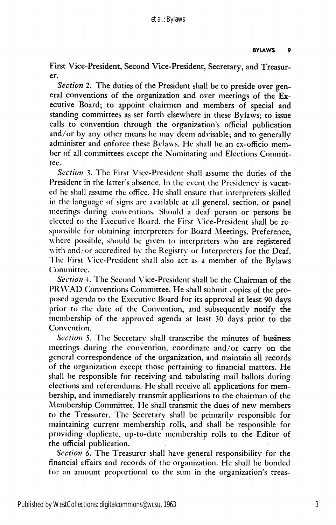First Vice-President, Second Vice-President, Secretary, and Treasur er.

Section 2. The duties of the President shall be to preside over general conventions of the organization and over meetings of the Ex ecutive Board; to appoint chairmen and members of special and standing committees as set forth elsewhere in these Bylaws; to issue calls to convention through the organization's official publication and/or by any other means he may deem advisable; and to generally administer and enforce these Bylaws. He shall be an ex-officio member of all committees except the Nominating and Elections Commit tee.

Section 3. The First Vice-President shall assume the duties of the President in the latter's absence. In the event the Presidency is vacat ed he shall assume the office. He shall ensure that interpreters skilled in the language of signs are available at all general, section, or panel meetings during conventions. Should a deaf person or persons be elected to the Executive Board, the First \'ice-President shall be re sponsible for obtaining interpreters for Board Meetings. Preference, where possible, should be given to interpreters who are registered with and/ or accredited by the Registry or Interpreters for the Deaf. The First Vice-President shall also act as a member of the Bylaws (^)minittee.

Section 4. The Second Vice-President shall be the Chairman of the PRWAD Conventions Committee. He shall submit copies of the pro posed agenda to the Executive Board for its approval at least 90 days prior to the date of the Convention, and subsequently notify the membership of the approved agenda at least 30 days prior to the Convention.

Section 5. The Secretary shall transcribe the minutes of business meetings during the convention, coordinate and/or carry on the general correspondence of the organization, and maintain all records of the organization except those pertaining to financial matters. He shall be responsible for receiving and tabulating mail ballots during elections and referendums. He shall receive all applications for mem bership, and immediately transmit applications to the chairman of the Membership Committee. He shall transmit the dues of new members to the Treasurer. The Secretary shall be primarily responsible for maintaining current membership rolls, and shall be responsible for providing duplicate, up-to-date membership rolls to the Editor of the official publication.

Section 6. The Treasurer shall have general responsibility for the financial affairs and records of the organization. He shall be bonded for an amount proportional to the sum in the organization's treas-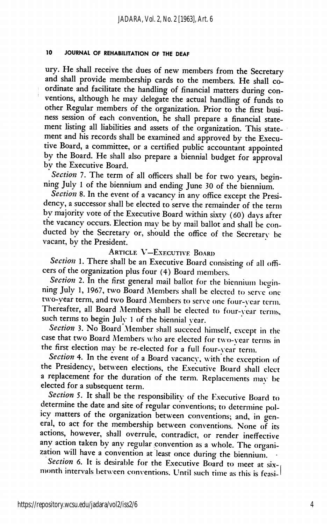### 10 JOURNAL OF REHABILITATION OF THE DEAF

ury. He shall receive the dues of new members from the Secretary and shall provide membership cards to the members. He shall co ordinate and facilitate the handling of financial matters during con ventions, although he may delegate the actual handling of funds to other Regular members of the organization. Prior to the first busi ness session of each convention, he shall prepare a financial state ment listing all liabilities and assets of the organization. This state ment and his records shall be examined and approved by the Execu tive Board, a committee, or a certified public accountant appointed by the Board. He shall also prepare a biennial budget for approval by the Executive Board.

Section 7. The term of all officers shall be for two years, beginning July 1 of the biennium and ending June 30 of the biennium.

Section 8. In the event of a vacancy in any office except the Presidency, a successor shall be elected to serve the remainder of the term by majority vote of the Executive Board within sixty (60) days after the vacancy occurs. Election may be by mail ballot and shall be con ducted by the Secretary or, should the office of the Secretary be vacant, by the President.

# Article V—Executive Board

Section 1. There shall be an Executive Board consisting of all officers of the organization plus four (4) Board members.

Section 2. In the first general mail ballot for the biennium beginning July 1, 1967, two Board Members shall be elected to serve one two-year term, and two Board Members to serve one four-year term. Thereafter, all Board Members shall be elected to four-year terms, such terms to begin July 1 of the biennial vear.

Section 3. No Board Member shall succeed himself, except in the case that two Board Alembers who are elected for two-year terms in the first election may be re-elected for a full four-year term.

Section 4. In the event of a Board vacancy, with the exception of the Presidency, between elections, the Executive Board shall elect a replacement for the duration of the term. Replacements may be elected for a subsequent term.

Section 5. It shall be the responsibility of the Executive Board to determine the date and site of regular conventions; to determine pol icy matters of the organization between conventions; and, in gen eral, to act for the membership between conventions. None of its actions, however, shall overrule, contradict, or render ineffective any action taken by any regular convention as a whole. The organi zation will have a convention at least once during the biennium. •

Section 6. It is desirable for the Executive Board to meet at  $six$ month intervals between conventions. Until such time as this is feasi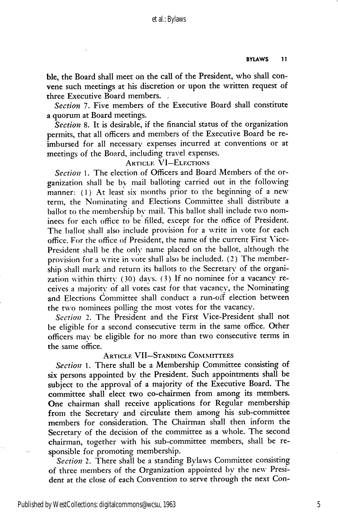ble, the Board shall meet on the call of the President, who shall con vene such meetings at his discretion or upon the written request of three Executive Board members. ,

Section 7. Five members of the Executive Board shall constitute a quorum at Board meetings.

Section 8. It is desirable, if the financial status of the organization permits, that all officers and members of the Executive Board be re imbursed for all necessary expenses incurred at conventions or at meetings of the Board, including travel expenses.

# **ARTICLE VI-ELECTIONS**

Section 1. The election of Officers and Board Members of the organization shall be bv mail balloting carried out in the following manner: (1) At least six months prior to the beginning of a new term, the Nominating and Elections Committee shall distribute a ballot to the membership by mail. This ballot shall include two nom inees for each office to be filled, except for the office of President. The ballot shall also include provision for a write in vote for each office. For the office of President, the name of the current First Vice-President shall be the only name placed on the ballot, although the provision for a write in vote shall also be included. (2) The member ship shall mark and return its ballots to the Secretary of the organi zation within thirty (30) days. (3) If no nominee for a vacancy re ceives a majority of all votes cast for that vacancy, the Nominating and Elections Committee shall conduct a run-off election between the two nominees polling the most votes for the vacancy.

Section 2. The President and the First Vice-President shall not be eligible for a second consecutive term in the same office. Other officers may be eligible for no more than two consecutive terms in the same office.

## Article VII—Standing Committees

Section 1. There shall be a Membership Committee consisting of six persons appointed by the President. Such appointments shall be subject to the approval of a majority of the Executive Board. The committee shall elect two co-chairmen from among its members. One chairman shall receive applications for Regular membership from the Secretary and circulate them among his sub-committee members for consideration. The Chairman shall then inform the Secretary of the decision of the committee as a whole. The second chairman, together with his sub-committee members, shall be re sponsible for promoting membership.

Section 2. There shall be a standing Bylaws Committee consisting of three members of the Organization appointed by the new Presi dent at the close of each Convention to serve through the next Con-

5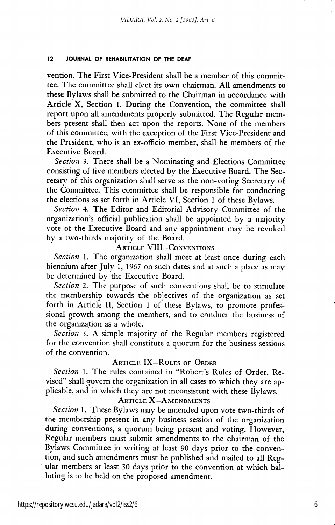### 12 JOURNAL OF REHABILITATION OF THE DEAF

vention. The First Vice-President shall be a member of this commit tee. The committee shall elect its own chairman. All amendments to these Bylaws shall be submitted to the Chairman in accordance with Article X, Section 1. During the Convention, the committee shall report upon all amendments properly submitted. The Regular mem bers present shall then act upon the reports. None of the members of this committee, with the exception of the First Vice-President and the President, who is an ex-officio member, shall be members of the Executive Board.

Section 3. There shall be a Nominating and Elections Committee consisting of five members elected by the Executive Board. The Sec retary of this organization shall serve as the non-voting Secretary of the Committee. This committee shall be responsible for conducting the elections as set forth in Article VI, Section 1 of these Bylaws.

Section 4. The Editor and Editorial Advisory Committee of the organization's official publication shall be appointed by a majority vote of the Executive Board and any appointment may be revoked by a two-thirds majority of the Board.

### Article VIII—Conventions

Section 1. The organization shall meet at least once during each biennium after July 1, 1967 on such dates and at such a place as may be determined by the Executive Board.

Section 2. The purpose of such conventions shall be to stimulate the membership towards the objectives of the organization as set forth in Article II, Section 1 of these Bylaws, to promote profes sional growth among the members, and to conduct the business of the organization as a whole.

Section 3. A simple majority of the Regular members registered for the convention shall constitute a quorum for the business sessions of the convention.

### Article IX—Rules of Order

Section 1. The rules contained in "Robert's Rules of Order, Revised" shall govern the organization in all cases to which they are ap plicable, and in which they are not inconsistent with these Bylaws.

### ARTICLE X-AMENDMENTS

Section 1. These Bylaws may be amended upon vote two-thirds of the membership present in any business session of the organization during conventions, a quorum being present and voting. However, Regular members must submit amendments to the chairman of the Bylaws Committee in writing at least 90 days prior to the conven tion, and such amendments must be published and mailed to all Reg ular members at least 30 days prior to the convention at which bal loting is to be held on the proposed amendment.